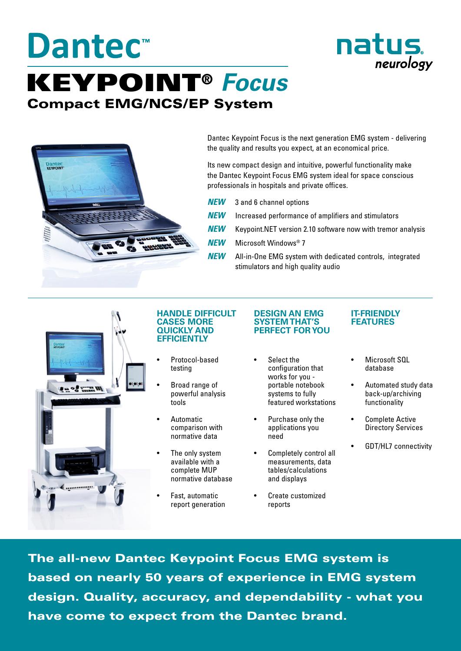# **Dantec™** KEYPOINT® *Focus* Compact EMG/NCS/EP System



Dantec Keypoint Focus is the next generation EMG system - delivering the quality and results you expect, at an economical price.

Its new compact design and intuitive, powerful functionality make the Dantec Keypoint Focus EMG system ideal for space conscious professionals in hospitals and private offices.

- *NEW* 3 and 6 channel options
- **NEW** Increased performance of amplifiers and stimulators
- *NEW* Keypoint.NET version 2.10 software now with tremor analysis
- *NEW* Microsoft Windows® 7
- **NEW** All-in-One EMG system with dedicated controls, integrated stimulators and high quality audio



#### **HANDLE DIFFICULT CASES MORE QUICKLY AND EFFICIENTLY**

- Protocol-based testing
- Broad range of powerful analysis tools
- **Automatic** comparison with normative data
- The only system available with a complete MUP normative database
- Fast, automatic report generation

#### **DESIGN AN EMG SYSTEM THAT'S PERFECT FOR YOU**

- Select the configuration that works for you portable notebook systems to fully featured workstations
- Purchase only the applications you need
- Completely control all measurements, data tables/calculations and displays
- Create customized reports

### **IT-FRIENDLY FEATURES**

natus.

neurology

- Microsoft SQL database
- Automated study data back-up/archiving functionality
- Complete Active Directory Services
- GDT/HL7 connectivity

The all-new Dantec Keypoint Focus EMG system is based on nearly 50 years of experience in EMG system design. Quality, accuracy, and dependability - what you have come to expect from the Dantec brand.